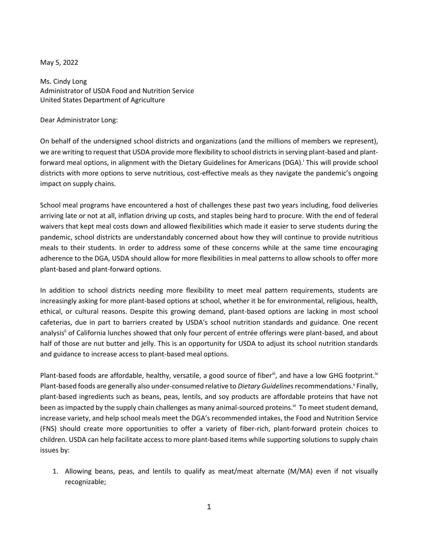## May 5, 2022

Ms. Cindy Long Administrator of USDA Food and Nutrition Service United States Department of Agriculture

### Dear Administrator Long:

On behalf of the undersigned school districts and organizations (and the millions of members we represent), we are writing to request that USDA provide more flexibility to school districts in serving plant-based and plantforward meal options, in alignment with the Dietary Guidelines for Americans (DGA).<sup>†</sup> This will provide school districts with more options to serve nutritious, cost-effective meals as they navigate the pandemic's ongoing impact on supply chains.

School meal programs have encountered a host of challenges these past two years including, food deliveries arriving late or not at all, inflation driving up costs, and staples being hard to procure. With the end of federal waivers that kept meal costs down and allowed flexibilities which made it easier to serve students during the pandemic, school districts are understandably concerned about how they will continue to provide nutritious meals to their students. In order to address some of these concerns while at the same time encouraging adherence to the DGA, USDA should allow for more flexibilities in meal patterns to allow schools to offer more plant-based and plant-forward options.

In addition to school districts needing more flexibility to meet meal pattern requirements, students are increasingly asking for more plant-based options at school, whether it be for environmental, religious, health, ethical, or cultural reasons. Despite this growing demand, plant-based options are lacking in most school cafeterias, due in part to barriers created by USDA's school nutrition standards and guidance. One recent analysis<sup>ii</sup> of California lunches showed that only four percent of entrée offerings were plant-based, and about half of those are nut butter and jelly. This is an opportunity for USDA to adjust its school nutrition standards and guidance to increase access to plant-based meal options.

Plant-based foods are affordable, healthy, versatile, a good source of fiberii, and have a low GHG footprint.<sup>iv</sup> Plant-based foods are generally also under-consumed relative to Dietary Guidelines recommendations.<sup>v</sup> Finally, plant-based ingredients such as beans, peas, lentils, and soy products are affordable proteins that have not been as impacted by the supply chain challenges as many animal-sourced proteins.<sup>vi</sup> To meet student demand, increase variety, and help school meals meet the DGA's recommended intakes, the Food and Nutrition Service (FNS) should create more opportunities to offer a variety of fiber-rich, plant-forward protein choices to children. USDA can help facilitate access to more plant-based items while supporting solutions to supply chain issues by:

1. Allowing beans, peas, and lentils to qualify as meat/meat alternate (M/MA) even if not visually recognizable;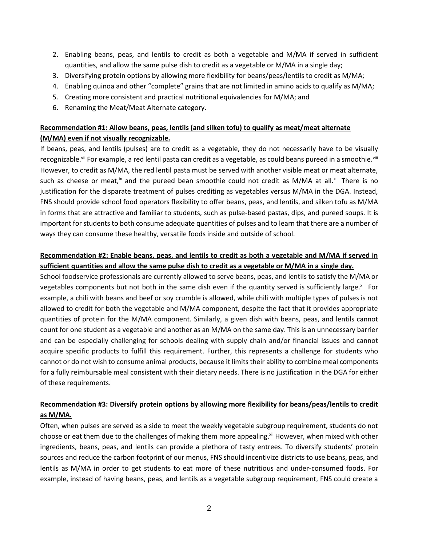- 2. Enabling beans, peas, and lentils to credit as both a vegetable and M/MA if served in sufficient quantities, and allow the same pulse dish to credit as a vegetable or M/MA in a single day;
- 3. Diversifying protein options by allowing more flexibility for beans/peas/lentils to credit as M/MA;
- 4. Enabling quinoa and other "complete" grains that are not limited in amino acids to qualify as M/MA;
- 5. Creating more consistent and practical nutritional equivalencies for M/MA; and
- 6. Renaming the Meat/Meat Alternate category.

# **Recommendation #1: Allow beans, peas, lentils (and silken tofu) to qualify as meat/meat alternate (M/MA) even if not visually recognizable.**

If beans, peas, and lentils (pulses) are to credit as a vegetable, they do not necessarily have to be visually recognizable.<sup>vii</sup> For example, a red lentil pasta can credit as a vegetable, as could beans pureed in a smoothie.<sup>viii</sup> However, to credit as M/MA, the red lentil pasta must be served with another visible meat or meat alternate, such as cheese or meat,<sup>ix</sup> and the pureed bean smoothie could not credit as M/MA at all.<sup>x</sup> There is no justification for the disparate treatment of pulses crediting as vegetables versus M/MA in the DGA. Instead, FNS should provide school food operators flexibility to offer beans, peas, and lentils, and silken tofu as M/MA in forms that are attractive and familiar to students, such as pulse-based pastas, dips, and pureed soups. It is important for students to both consume adequate quantities of pulses and to learn that there are a number of ways they can consume these healthy, versatile foods inside and outside of school.

# **Recommendation #2: Enable beans, peas, and lentils to credit as both a vegetable and M/MA if served in sufficient quantities and allow the same pulse dish to credit as a vegetable or M/MA in a single day.**

School foodservice professionals are currently allowed to serve beans, peas, and lentils to satisfy the M/MA or vegetables components but not both in the same dish even if the quantity served is sufficiently large.<sup>xi</sup> For example, a chili with beans and beef or soy crumble is allowed, while chili with multiple types of pulses is not allowed to credit for both the vegetable and M/MA component, despite the fact that it provides appropriate quantities of protein for the M/MA component. Similarly, a given dish with beans, peas, and lentils cannot count for one student as a vegetable and another as an M/MA on the same day. This is an unnecessary barrier and can be especially challenging for schools dealing with supply chain and/or financial issues and cannot acquire specific products to fulfill this requirement. Further, this represents a challenge for students who cannot or do not wish to consume animal products, because it limits their ability to combine meal components for a fully reimbursable meal consistent with their dietary needs. There is no justification in the DGA for either of these requirements.

# **Recommendation #3: Diversify protein options by allowing more flexibility for beans/peas/lentils to credit as M/MA.**

Often, when pulses are served as a side to meet the weekly vegetable subgroup requirement, students do not choose or eat them due to the challenges of making them more appealing.<sup>xii</sup> However, when mixed with other ingredients, beans, peas, and lentils can provide a plethora of tasty entrees. To diversify students' protein sources and reduce the carbon footprint of our menus, FNS should incentivize districts to use beans, peas, and lentils as M/MA in order to get students to eat more of these nutritious and under-consumed foods. For example, instead of having beans, peas, and lentils as a vegetable subgroup requirement, FNS could create a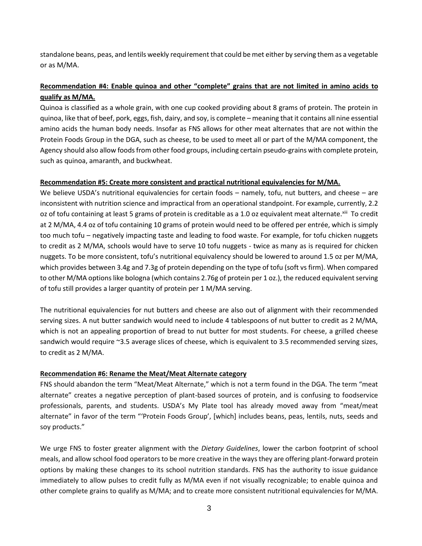standalone beans, peas, and lentils weekly requirement that could be met either by serving them as a vegetable or as M/MA.

# **Recommendation #4: Enable quinoa and other "complete" grains that are not limited in amino acids to qualify as M/MA.**

Quinoa is classified as a whole grain, with one cup cooked providing about 8 grams of protein. The protein in quinoa, like that of beef, pork, eggs, fish, dairy, and soy, is complete – meaning that it contains all nine essential amino acids the human body needs. Insofar as FNS allows for other meat alternates that are not within the Protein Foods Group in the DGA, such as cheese, to be used to meet all or part of the M/MA component, the Agency should also allow foods from other food groups, including certain pseudo-grains with complete protein, such as quinoa, amaranth, and buckwheat.

## **Recommendation #5: Create more consistent and practical nutritional equivalencies for M/MA.**

We believe USDA's nutritional equivalencies for certain foods – namely, tofu, nut butters, and cheese – are inconsistent with nutrition science and impractical from an operational standpoint. For example, currently, 2.2 oz of tofu containing at least 5 grams of protein is creditable as a 1.0 oz equivalent meat alternate. Xili To credit at 2 M/MA, 4.4 oz of tofu containing 10 grams of protein would need to be offered per entrée, which is simply too much tofu – negatively impacting taste and leading to food waste. For example, for tofu chicken nuggets to credit as 2 M/MA, schools would have to serve 10 tofu nuggets - twice as many as is required for chicken nuggets. To be more consistent, tofu's nutritional equivalency should be lowered to around 1.5 oz per M/MA, which provides between 3.4g and 7.3g of protein depending on the type of tofu (soft vs firm). When compared to other M/MA options like bologna (which contains 2.76g of protein per 1 oz.), the reduced equivalent serving of tofu still provides a larger quantity of protein per 1 M/MA serving.

The nutritional equivalencies for nut butters and cheese are also out of alignment with their recommended serving sizes. A nut butter sandwich would need to include 4 tablespoons of nut butter to credit as 2 M/MA, which is not an appealing proportion of bread to nut butter for most students. For cheese, a grilled cheese sandwich would require ~3.5 average slices of cheese, which is equivalent to 3.5 recommended serving sizes, to credit as 2 M/MA.

## **Recommendation #6: Rename the Meat/Meat Alternate category**

FNS should abandon the term "Meat/Meat Alternate," which is not a term found in the DGA. The term "meat alternate" creates a negative perception of plant-based sources of protein, and is confusing to foodservice professionals, parents, and students. USDA's My Plate tool has already moved away from "meat/meat alternate" in favor of the term "'Protein Foods Group', [which] includes beans, peas, lentils, nuts, seeds and soy products."

We urge FNS to foster greater alignment with the *Dietary Guidelines*, lower the carbon footprint of school meals, and allow school food operators to be more creative in the ways they are offering plant-forward protein options by making these changes to its school nutrition standards. FNS has the authority to issue guidance immediately to allow pulses to credit fully as M/MA even if not visually recognizable; to enable quinoa and other complete grains to qualify as M/MA; and to create more consistent nutritional equivalencies for M/MA.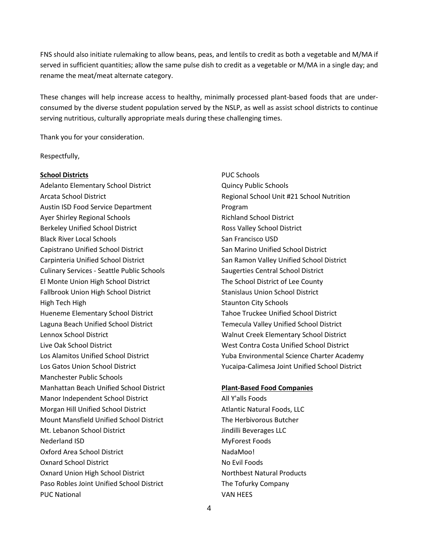FNS should also initiate rulemaking to allow beans, peas, and lentils to credit as both a vegetable and M/MA if served in sufficient quantities; allow the same pulse dish to credit as a vegetable or M/MA in a single day; and rename the meat/meat alternate category.

These changes will help increase access to healthy, minimally processed plant-based foods that are underconsumed by the diverse student population served by the NSLP, as well as assist school districts to continue serving nutritious, culturally appropriate meals during these challenging times.

Thank you for your consideration.

Respectfully,

### **School Districts**

Adelanto Elementary School District Arcata School District Austin ISD Food Service Department Ayer Shirley Regional Schools Berkeley Unified School District Black River Local Schools Capistrano Unified School District Carpinteria Unified School District Culinary Services - Seattle Public Schools El Monte Union High School District Fallbrook Union High School District High Tech High Hueneme Elementary School District Laguna Beach Unified School District Lennox School District Live Oak School District Los Alamitos Unified School District Los Gatos Union School District Manchester Public Schools Manhattan Beach Unified School District Manor Independent School District Morgan Hill Unified School District Mount Mansfield Unified School District Mt. Lebanon School District Nederland ISD Oxford Area School District Oxnard School District Oxnard Union High School District Paso Robles Joint Unified School District PUC National

PUC Schools Quincy Public Schools Regional School Unit #21 School Nutrition Program Richland School District Ross Valley School District San Francisco USD San Marino Unified School District San Ramon Valley Unified School District Saugerties Central School District The School District of Lee County Stanislaus Union School District Staunton City Schools Tahoe Truckee Unified School District Temecula Valley Unified School District Walnut Creek Elementary School District West Contra Costa Unified School District Yuba Environmental Science Charter Academy Yucaipa-Calimesa Joint Unified School District

#### **Plant-Based Food Companies**

All Y'alls Foods Atlantic Natural Foods, LLC The Herbivorous Butcher Jindilli Beverages LLC MyForest Foods NadaMoo! No Evil Foods Northbest Natural Products The Tofurky Company VAN HEES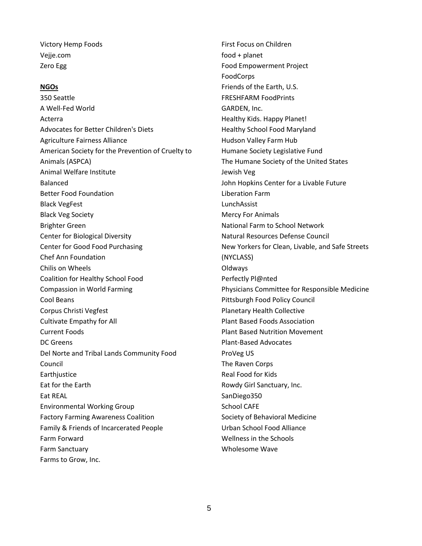Victory Hemp Foods Vejje.com Zero Egg

### **NGOs**

350 Seattle A Well-Fed World Acterra Advocates for Better Children's Diets Agriculture Fairness Alliance American Society for the Prevention of Cruelty to Animals (ASPCA) Animal Welfare Institute Balanced Better Food Foundation Black VegFest Black Veg Society Brighter Green Center for Biological Diversity Center for Good Food Purchasing Chef Ann Foundation Chilis on Wheels Coalition for Healthy School Food Compassion in World Farming Cool Beans Corpus Christi Vegfest Cultivate Empathy for All Current Foods DC Greens Del Norte and Tribal Lands Community Food Council **Earthjustice** Eat for the Earth Eat REAL Environmental Working Group Factory Farming Awareness Coalition Family & Friends of Incarcerated People Farm Forward Farm Sanctuary Farms to Grow, Inc.

First Focus on Children food + planet Food Empowerment Project FoodCorps Friends of the Earth, U.S. FRESHFARM FoodPrints GARDEN, Inc. Healthy Kids. Happy Planet! Healthy School Food Maryland Hudson Valley Farm Hub Humane Society Legislative Fund The Humane Society of the United States Jewish Veg John Hopkins Center for a Livable Future Liberation Farm LunchAssist Mercy For Animals National Farm to School Network Natural Resources Defense Council New Yorkers for Clean, Livable, and Safe Streets (NYCLASS) Oldways Perfectly Pl@nted Physicians Committee for Responsible Medicine Pittsburgh Food Policy Council Planetary Health Collective Plant Based Foods Association Plant Based Nutrition Movement Plant-Based Advocates ProVeg US The Raven Corps Real Food for Kids Rowdy Girl Sanctuary, Inc. SanDiego350 School CAFE Society of Behavioral Medicine Urban School Food Alliance Wellness in the Schools Wholesome Wave